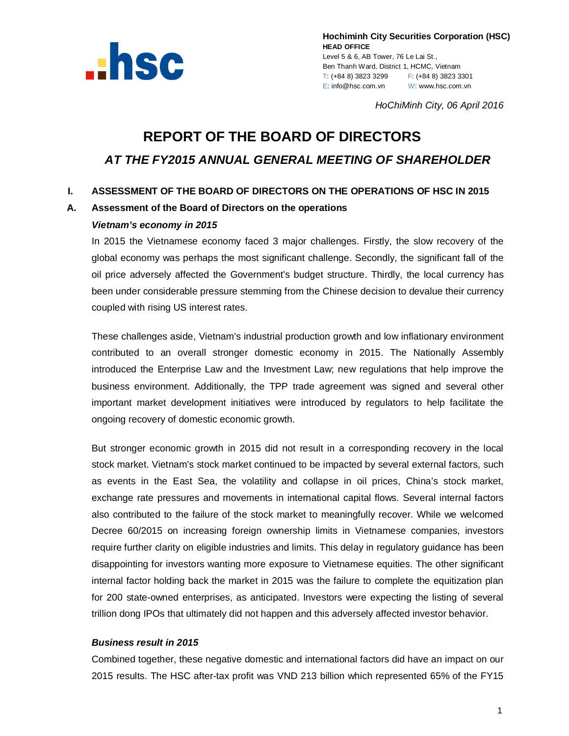

**Hochiminh City Securities Corporation (HSC) HEAD OFFICE** Level 5 & 6, AB Tower, 76 Le Lai St., Ben Thanh Ward, District 1, HCMC, Vietnam T: (+84 8) 3823 3299 F: (+84 8) 3823 3301 E: info@hsc.com.vn W: www.hsc.com.vn

*HoChiMinh City, 06 April 2016*

# **REPORT OF THE BOARD OF DIRECTORS** *AT THE FY2015 ANNUAL GENERAL MEETING OF SHAREHOLDER*

## **I. ASSESSMENT OF THE BOARD OF DIRECTORS ON THE OPERATIONS OF HSC IN 2015**

#### **A. Assessment of the Board of Directors on the operations**

#### *Vietnam's economy in 2015*

In 2015 the Vietnamese economy faced 3 major challenges. Firstly, the slow recovery of the global economy was perhaps the most significant challenge. Secondly, the significant fall of the oil price adversely affected the Government's budget structure. Thirdly, the local currency has been under considerable pressure stemming from the Chinese decision to devalue their currency coupled with rising US interest rates.

These challenges aside, Vietnam's industrial production growth and low inflationary environment contributed to an overall stronger domestic economy in 2015. The Nationally Assembly introduced the Enterprise Law and the Investment Law; new regulations that help improve the business environment. Additionally, the TPP trade agreement was signed and several other important market development initiatives were introduced by regulators to help facilitate the ongoing recovery of domestic economic growth.

But stronger economic growth in 2015 did not result in a corresponding recovery in the local stock market. Vietnam's stock market continued to be impacted by several external factors, such as events in the East Sea, the volatility and collapse in oil prices, China's stock market, exchange rate pressures and movements in international capital flows. Several internal factors also contributed to the failure of the stock market to meaningfully recover. While we welcomed Decree 60/2015 on increasing foreign ownership limits in Vietnamese companies, investors require further clarity on eligible industries and limits. This delay in regulatory guidance has been disappointing for investors wanting more exposure to Vietnamese equities. The other significant internal factor holding back the market in 2015 was the failure to complete the equitization plan for 200 state-owned enterprises, as anticipated. Investors were expecting the listing of several trillion dong IPOs that ultimately did not happen and this adversely affected investor behavior.

#### *Business result in 2015*

Combined together, these negative domestic and international factors did have an impact on our 2015 results. The HSC after-tax profit was VND 213 billion which represented 65% of the FY15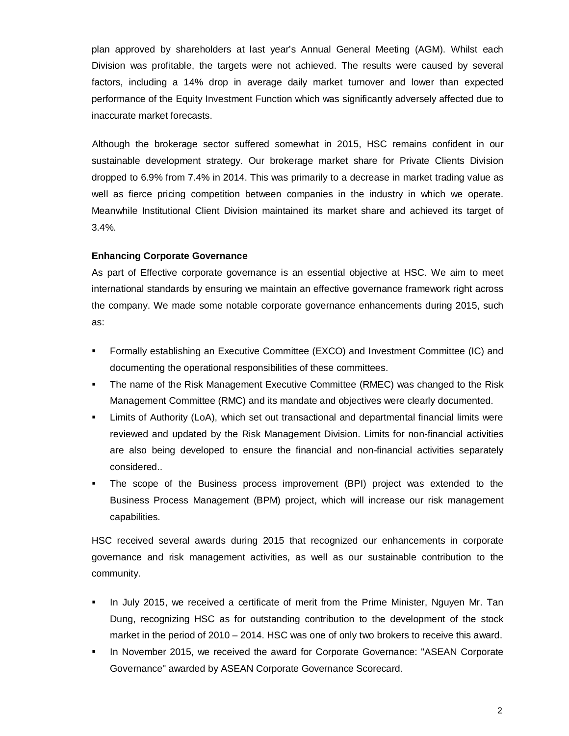plan approved by shareholders at last year's Annual General Meeting (AGM). Whilst each Division was profitable, the targets were not achieved. The results were caused by several factors, including a 14% drop in average daily market turnover and lower than expected performance of the Equity Investment Function which was significantly adversely affected due to inaccurate market forecasts.

Although the brokerage sector suffered somewhat in 2015, HSC remains confident in our sustainable development strategy. Our brokerage market share for Private Clients Division dropped to 6.9% from 7.4% in 2014. This was primarily to a decrease in market trading value as well as fierce pricing competition between companies in the industry in which we operate. Meanwhile Institutional Client Division maintained its market share and achieved its target of 3.4%.

#### **Enhancing Corporate Governance**

As part of Effective corporate governance is an essential objective at HSC. We aim to meet international standards by ensuring we maintain an effective governance framework right across the company. We made some notable corporate governance enhancements during 2015, such as:

- Formally establishing an Executive Committee (EXCO) and Investment Committee (IC) and documenting the operational responsibilities of these committees.
- The name of the Risk Management Executive Committee (RMEC) was changed to the Risk Management Committee (RMC) and its mandate and objectives were clearly documented.
- Limits of Authority (LoA), which set out transactional and departmental financial limits were reviewed and updated by the Risk Management Division. Limits for non-financial activities are also being developed to ensure the financial and non-financial activities separately considered..
- The scope of the Business process improvement (BPI) project was extended to the Business Process Management (BPM) project, which will increase our risk management capabilities.

HSC received several awards during 2015 that recognized our enhancements in corporate governance and risk management activities, as well as our sustainable contribution to the community.

- In July 2015, we received a certificate of merit from the Prime Minister, Nguyen Mr. Tan Dung, recognizing HSC as for outstanding contribution to the development of the stock market in the period of 2010 – 2014. HSC was one of only two brokers to receive this award.
- In November 2015, we received the award for Corporate Governance: "ASEAN Corporate Governance" awarded by ASEAN Corporate Governance Scorecard.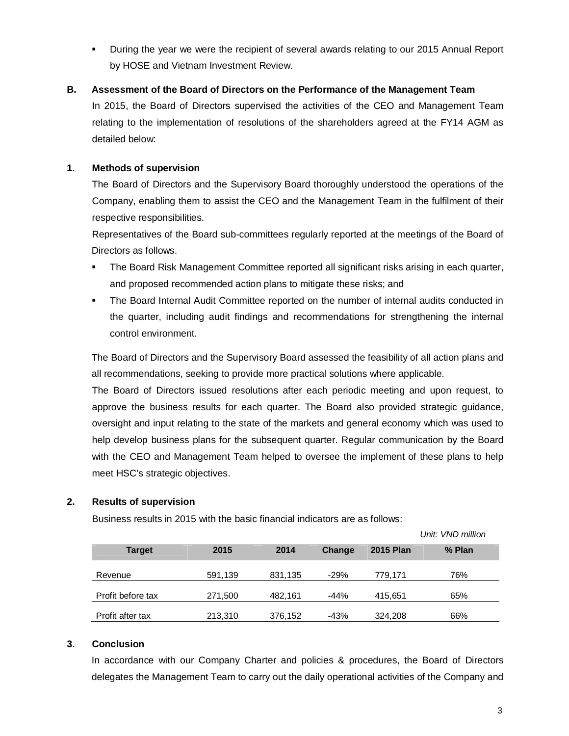During the year we were the recipient of several awards relating to our 2015 Annual Report by HOSE and Vietnam Investment Review.

## **B. Assessment of the Board of Directors on the Performance of the Management Team**

In 2015, the Board of Directors supervised the activities of the CEO and Management Team relating to the implementation of resolutions of the shareholders agreed at the FY14 AGM as detailed below:

## **1. Methods of supervision**

The Board of Directors and the Supervisory Board thoroughly understood the operations of the Company, enabling them to assist the CEO and the Management Team in the fulfilment of their respective responsibilities.

Representatives of the Board sub-committees regularly reported at the meetings of the Board of Directors as follows.

- The Board Risk Management Committee reported all significant risks arising in each quarter, and proposed recommended action plans to mitigate these risks; and
- The Board Internal Audit Committee reported on the number of internal audits conducted in the quarter, including audit findings and recommendations for strengthening the internal control environment.

The Board of Directors and the Supervisory Board assessed the feasibility of all action plans and all recommendations, seeking to provide more practical solutions where applicable.

The Board of Directors issued resolutions after each periodic meeting and upon request, to approve the business results for each quarter. The Board also provided strategic guidance, oversight and input relating to the state of the markets and general economy which was used to help develop business plans for the subsequent quarter. Regular communication by the Board with the CEO and Management Team helped to oversee the implement of these plans to help meet HSC's strategic objectives.

#### **2. Results of supervision**

Business results in 2015 with the basic financial indicators are as follows:

 *Unit: VND million*

| <b>Target</b>     | 2015    | 2014    | Change | <b>2015 Plan</b> | % Plan |
|-------------------|---------|---------|--------|------------------|--------|
| Revenue           | 591,139 | 831,135 | $-29%$ | 779,171          | 76%    |
| Profit before tax | 271,500 | 482,161 | $-44%$ | 415,651          | 65%    |
| Profit after tax  | 213,310 | 376,152 | -43%   | 324.208          | 66%    |

#### **3. Conclusion**

In accordance with our Company Charter and policies & procedures, the Board of Directors delegates the Management Team to carry out the daily operational activities of the Company and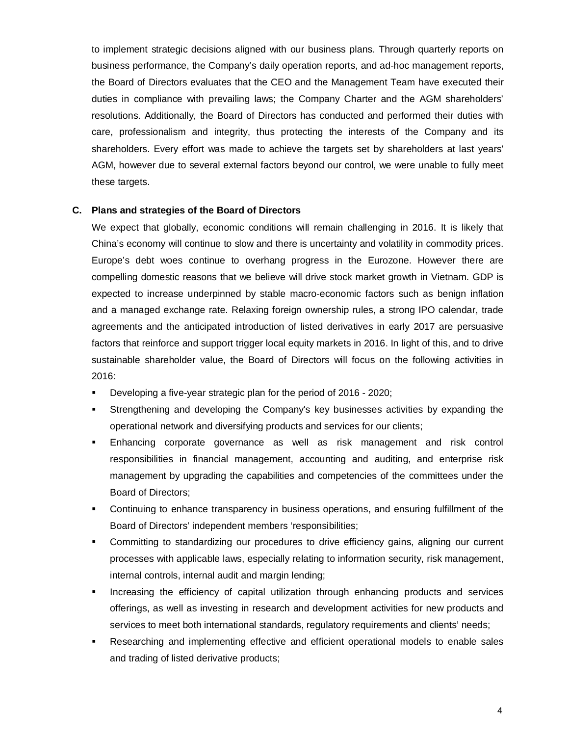to implement strategic decisions aligned with our business plans. Through quarterly reports on business performance, the Company's daily operation reports, and ad-hoc management reports, the Board of Directors evaluates that the CEO and the Management Team have executed their duties in compliance with prevailing laws; the Company Charter and the AGM shareholders' resolutions. Additionally, the Board of Directors has conducted and performed their duties with care, professionalism and integrity, thus protecting the interests of the Company and its shareholders. Every effort was made to achieve the targets set by shareholders at last years' AGM, however due to several external factors beyond our control, we were unable to fully meet these targets.

#### **C. Plans and strategies of the Board of Directors**

We expect that globally, economic conditions will remain challenging in 2016. It is likely that China's economy will continue to slow and there is uncertainty and volatility in commodity prices. Europe's debt woes continue to overhang progress in the Eurozone. However there are compelling domestic reasons that we believe will drive stock market growth in Vietnam. GDP is expected to increase underpinned by stable macro-economic factors such as benign inflation and a managed exchange rate. Relaxing foreign ownership rules, a strong IPO calendar, trade agreements and the anticipated introduction of listed derivatives in early 2017 are persuasive factors that reinforce and support trigger local equity markets in 2016. In light of this, and to drive sustainable shareholder value, the Board of Directors will focus on the following activities in 2016:

- Developing a five-year strategic plan for the period of 2016 2020;
- Strengthening and developing the Company's key businesses activities by expanding the operational network and diversifying products and services for our clients;
- Enhancing corporate governance as well as risk management and risk control responsibilities in financial management, accounting and auditing, and enterprise risk management by upgrading the capabilities and competencies of the committees under the Board of Directors;
- Continuing to enhance transparency in business operations, and ensuring fulfillment of the Board of Directors' independent members 'responsibilities;
- Committing to standardizing our procedures to drive efficiency gains, aligning our current processes with applicable laws, especially relating to information security, risk management, internal controls, internal audit and margin lending;
- Increasing the efficiency of capital utilization through enhancing products and services offerings, as well as investing in research and development activities for new products and services to meet both international standards, regulatory requirements and clients' needs;
- Researching and implementing effective and efficient operational models to enable sales and trading of listed derivative products;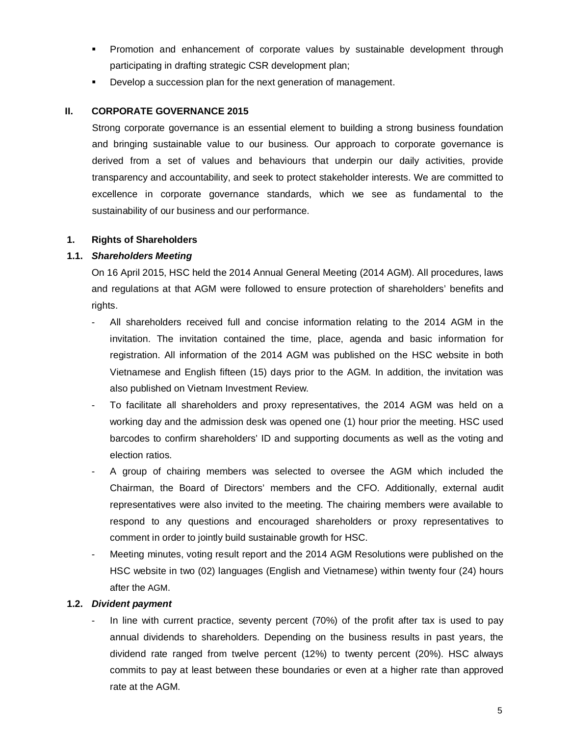- Promotion and enhancement of corporate values by sustainable development through participating in drafting strategic CSR development plan;
- Develop a succession plan for the next generation of management.

## **II. CORPORATE GOVERNANCE 2015**

Strong corporate governance is an essential element to building a strong business foundation and bringing sustainable value to our business. Our approach to corporate governance is derived from a set of values and behaviours that underpin our daily activities, provide transparency and accountability, and seek to protect stakeholder interests. We are committed to excellence in corporate governance standards, which we see as fundamental to the sustainability of our business and our performance.

## **1. Rights of Shareholders**

## **1.1.** *Shareholders Meeting*

On 16 April 2015, HSC held the 2014 Annual General Meeting (2014 AGM). All procedures, laws and regulations at that AGM were followed to ensure protection of shareholders' benefits and rights.

- All shareholders received full and concise information relating to the 2014 AGM in the invitation. The invitation contained the time, place, agenda and basic information for registration. All information of the 2014 AGM was published on the HSC website in both Vietnamese and English fifteen (15) days prior to the AGM. In addition, the invitation was also published on Vietnam Investment Review.
- To facilitate all shareholders and proxy representatives, the 2014 AGM was held on a working day and the admission desk was opened one (1) hour prior the meeting. HSC used barcodes to confirm shareholders' ID and supporting documents as well as the voting and election ratios.
- A group of chairing members was selected to oversee the AGM which included the Chairman, the Board of Directors' members and the CFO. Additionally, external audit representatives were also invited to the meeting. The chairing members were available to respond to any questions and encouraged shareholders or proxy representatives to comment in order to jointly build sustainable growth for HSC.
- Meeting minutes, voting result report and the 2014 AGM Resolutions were published on the HSC website in two (02) languages (English and Vietnamese) within twenty four (24) hours after the AGM.

#### **1.2.** *Divident payment*

In line with current practice, seventy percent (70%) of the profit after tax is used to pay annual dividends to shareholders. Depending on the business results in past years, the dividend rate ranged from twelve percent (12%) to twenty percent (20%). HSC always commits to pay at least between these boundaries or even at a higher rate than approved rate at the AGM.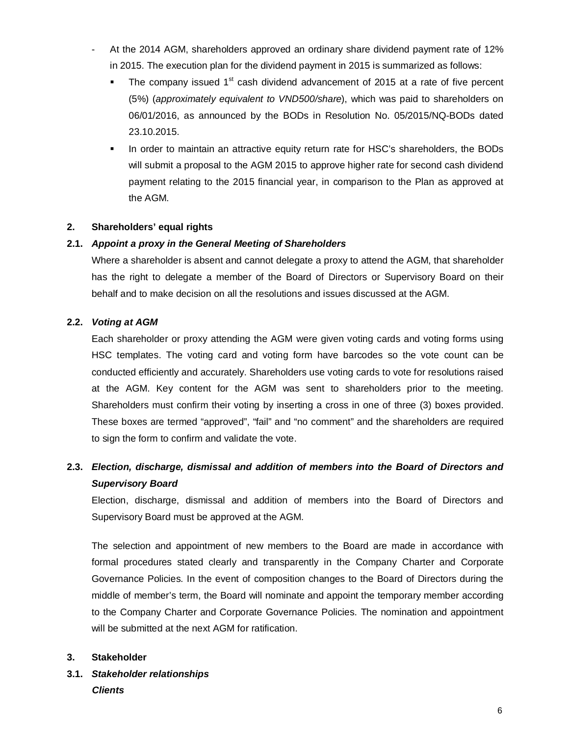- At the 2014 AGM, shareholders approved an ordinary share dividend payment rate of 12% in 2015. The execution plan for the dividend payment in 2015 is summarized as follows:
	- The company issued  $1<sup>st</sup>$  cash dividend advancement of 2015 at a rate of five percent (5%) (*approximately equivalent to VND500/share*), which was paid to shareholders on 06/01/2016, as announced by the BODs in Resolution No. 05/2015/NQ-BODs dated 23.10.2015.
	- In order to maintain an attractive equity return rate for HSC's shareholders, the BODs will submit a proposal to the AGM 2015 to approve higher rate for second cash dividend payment relating to the 2015 financial year, in comparison to the Plan as approved at the AGM.

## **2. Shareholders' equal rights**

## **2.1.** *Appoint a proxy in the General Meeting of Shareholders*

Where a shareholder is absent and cannot delegate a proxy to attend the AGM, that shareholder has the right to delegate a member of the Board of Directors or Supervisory Board on their behalf and to make decision on all the resolutions and issues discussed at the AGM.

## **2.2.** *Voting at AGM*

Each shareholder or proxy attending the AGM were given voting cards and voting forms using HSC templates. The voting card and voting form have barcodes so the vote count can be conducted efficiently and accurately. Shareholders use voting cards to vote for resolutions raised at the AGM. Key content for the AGM was sent to shareholders prior to the meeting. Shareholders must confirm their voting by inserting a cross in one of three (3) boxes provided. These boxes are termed "approved", "fail" and "no comment" and the shareholders are required to sign the form to confirm and validate the vote.

# **2.3.** *Election, discharge, dismissal and addition of members into the Board of Directors and Supervisory Board*

Election, discharge, dismissal and addition of members into the Board of Directors and Supervisory Board must be approved at the AGM.

The selection and appointment of new members to the Board are made in accordance with formal procedures stated clearly and transparently in the Company Charter and Corporate Governance Policies. In the event of composition changes to the Board of Directors during the middle of member's term, the Board will nominate and appoint the temporary member according to the Company Charter and Corporate Governance Policies. The nomination and appointment will be submitted at the next AGM for ratification.

#### **3. Stakeholder**

# **3.1.** *Stakeholder relationships Clients*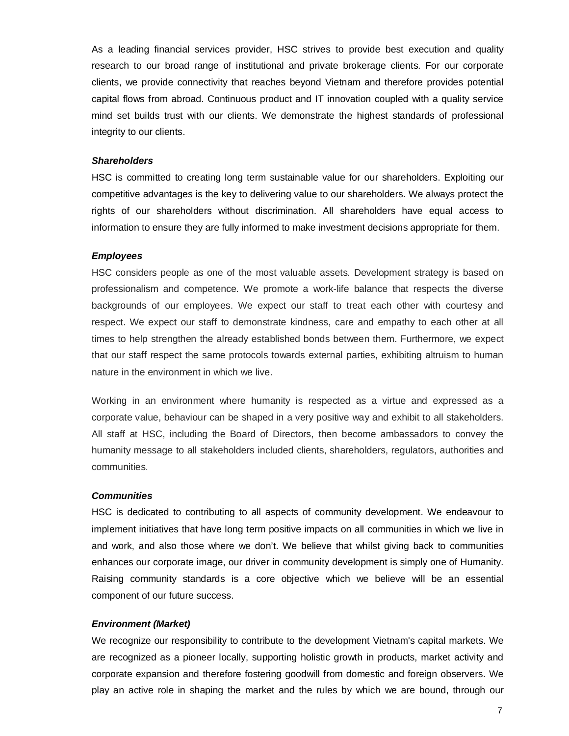As a leading financial services provider, HSC strives to provide best execution and quality research to our broad range of institutional and private brokerage clients. For our corporate clients, we provide connectivity that reaches beyond Vietnam and therefore provides potential capital flows from abroad. Continuous product and IT innovation coupled with a quality service mind set builds trust with our clients. We demonstrate the highest standards of professional integrity to our clients.

#### *Shareholders*

HSC is committed to creating long term sustainable value for our shareholders. Exploiting our competitive advantages is the key to delivering value to our shareholders. We always protect the rights of our shareholders without discrimination. All shareholders have equal access to information to ensure they are fully informed to make investment decisions appropriate for them.

#### *Employees*

HSC considers people as one of the most valuable assets. Development strategy is based on professionalism and competence. We promote a work-life balance that respects the diverse backgrounds of our employees. We expect our staff to treat each other with courtesy and respect. We expect our staff to demonstrate kindness, care and empathy to each other at all times to help strengthen the already established bonds between them. Furthermore, we expect that our staff respect the same protocols towards external parties, exhibiting altruism to human nature in the environment in which we live.

Working in an environment where humanity is respected as a virtue and expressed as a corporate value, behaviour can be shaped in a very positive way and exhibit to all stakeholders. All staff at HSC, including the Board of Directors, then become ambassadors to convey the humanity message to all stakeholders included clients, shareholders, regulators, authorities and communities.

#### *Communities*

HSC is dedicated to contributing to all aspects of community development. We endeavour to implement initiatives that have long term positive impacts on all communities in which we live in and work, and also those where we don't. We believe that whilst giving back to communities enhances our corporate image, our driver in community development is simply one of Humanity. Raising community standards is a core objective which we believe will be an essential component of our future success.

#### *Environment (Market)*

We recognize our responsibility to contribute to the development Vietnam's capital markets. We are recognized as a pioneer locally, supporting holistic growth in products, market activity and corporate expansion and therefore fostering goodwill from domestic and foreign observers. We play an active role in shaping the market and the rules by which we are bound, through our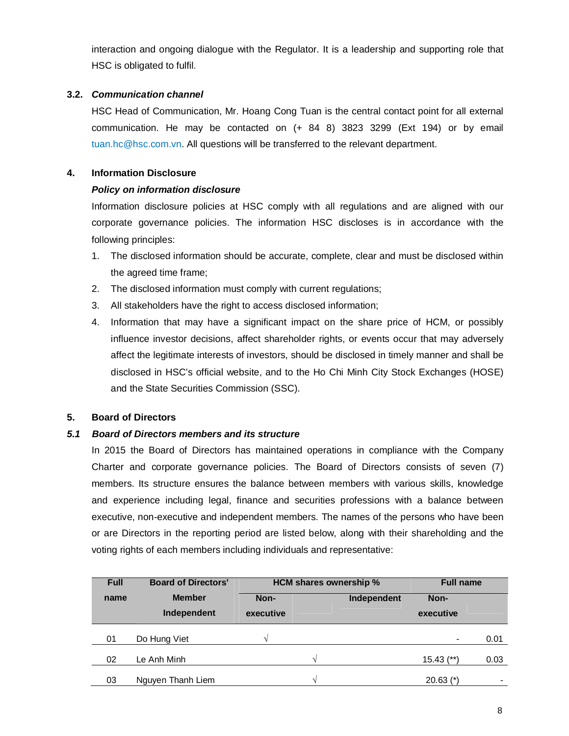interaction and ongoing dialogue with the Regulator. It is a leadership and supporting role that HSC is obligated to fulfil.

## **3.2.** *Communication channel*

HSC Head of Communication, Mr. Hoang Cong Tuan is the central contact point for all external communication. He may be contacted on (+ 84 8) 3823 3299 (Ext 194) or by email tuan.hc@hsc.com.vn. All questions will be transferred to the relevant department.

## **4. Information Disclosure**

## *Policy on information disclosure*

Information disclosure policies at HSC comply with all regulations and are aligned with our corporate governance policies. The information HSC discloses is in accordance with the following principles:

- 1. The disclosed information should be accurate, complete, clear and must be disclosed within the agreed time frame;
- 2. The disclosed information must comply with current regulations;
- 3. All stakeholders have the right to access disclosed information;
- 4. Information that may have a significant impact on the share price of HCM, or possibly influence investor decisions, affect shareholder rights, or events occur that may adversely affect the legitimate interests of investors, should be disclosed in timely manner and shall be disclosed in HSC's official website, and to the Ho Chi Minh City Stock Exchanges (HOSE) and the State Securities Commission (SSC).

## **5. Board of Directors**

## *5.1 Board of Directors members and its structure*

In 2015 the Board of Directors has maintained operations in compliance with the Company Charter and corporate governance policies. The Board of Directors consists of seven (7) members. Its structure ensures the balance between members with various skills, knowledge and experience including legal, finance and securities professions with a balance between executive, non-executive and independent members. The names of the persons who have been or are Directors in the reporting period are listed below, along with their shareholding and the voting rights of each members including individuals and representative:

| <b>Full</b> | <b>Board of Directors'</b> |           | <b>HCM shares ownership %</b> |             |                   | <b>Full name</b> |  |
|-------------|----------------------------|-----------|-------------------------------|-------------|-------------------|------------------|--|
| name        | <b>Member</b>              | Non-      |                               | Independent | Non-<br>executive |                  |  |
|             | Independent                | executive |                               |             |                   |                  |  |
| 01          | Do Hung Viet               |           |                               |             | $\blacksquare$    | 0.01             |  |
| 02          | Le Anh Minh                |           | V                             |             | $15.43$ (**)      | 0.03             |  |
| 03          | Nguyen Thanh Liem          |           | $\mathcal{N}$                 |             | $20.63$ (*)       | ۰                |  |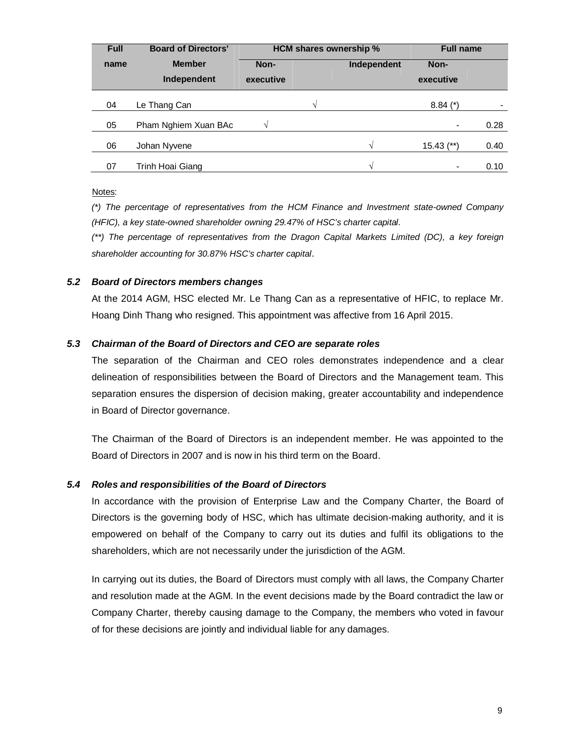| <b>Full</b> | <b>Board of Directors'</b>   | HCM shares ownership %           |   |                   | <b>Full name</b> |      |
|-------------|------------------------------|----------------------------------|---|-------------------|------------------|------|
| name        | <b>Member</b><br>Independent | Non-<br>Independent<br>executive |   | Non-<br>executive |                  |      |
|             |                              |                                  |   |                   |                  |      |
| 04          | Le Thang Can                 |                                  | V |                   | $8.84$ (*)       |      |
| 05          | Pham Nghiem Xuan BAc         |                                  |   |                   | $\blacksquare$   | 0.28 |
| 06          | Johan Nyvene                 |                                  |   | V                 | $15.43$ (**)     | 0.40 |
| 07          | Trinh Hoai Giang             |                                  |   | V                 |                  | 0.10 |

#### Notes:

*(\*) The percentage of representatives from the HCM Finance and Investment state-owned Company (HFIC), a key state-owned shareholder owning 29.47% of HSC's charter capital.*

*(\*\*) The percentage of representatives from the Dragon Capital Markets Limited (DC), a key foreign shareholder accounting for 30.87% HSC's charter capital*.

## *5.2 Board of Directors members changes*

At the 2014 AGM, HSC elected Mr. Le Thang Can as a representative of HFIC, to replace Mr. Hoang Dinh Thang who resigned. This appointment was affective from 16 April 2015.

## *5.3 Chairman of the Board of Directors and CEO are separate roles*

The separation of the Chairman and CEO roles demonstrates independence and a clear delineation of responsibilities between the Board of Directors and the Management team. This separation ensures the dispersion of decision making, greater accountability and independence in Board of Director governance.

The Chairman of the Board of Directors is an independent member. He was appointed to the Board of Directors in 2007 and is now in his third term on the Board.

#### *5.4 Roles and responsibilities of the Board of Directors*

In accordance with the provision of Enterprise Law and the Company Charter, the Board of Directors is the governing body of HSC, which has ultimate decision-making authority, and it is empowered on behalf of the Company to carry out its duties and fulfil its obligations to the shareholders, which are not necessarily under the jurisdiction of the AGM.

In carrying out its duties, the Board of Directors must comply with all laws, the Company Charter and resolution made at the AGM. In the event decisions made by the Board contradict the law or Company Charter, thereby causing damage to the Company, the members who voted in favour of for these decisions are jointly and individual liable for any damages.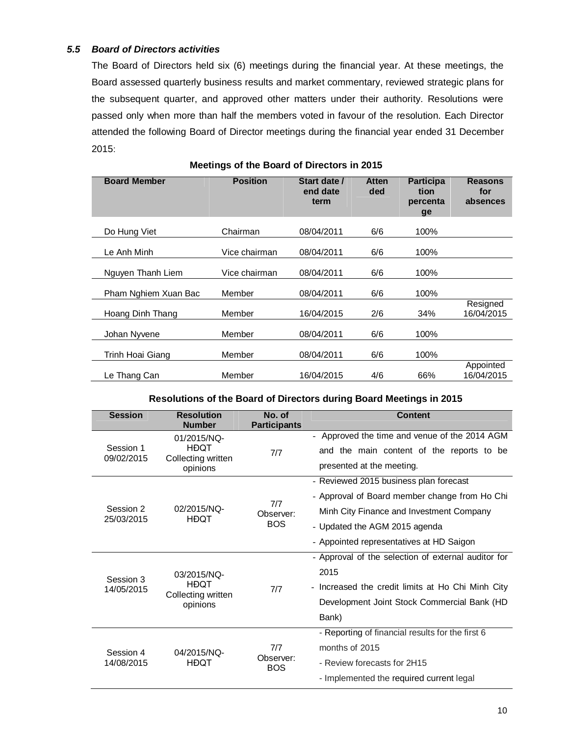#### *5.5 Board of Directors activities*

The Board of Directors held six (6) meetings during the financial year. At these meetings, the Board assessed quarterly business results and market commentary, reviewed strategic plans for the subsequent quarter, and approved other matters under their authority. Resolutions were passed only when more than half the members voted in favour of the resolution. Each Director attended the following Board of Director meetings during the financial year ended 31 December 2015:

| <b>Board Member</b>  | <b>Position</b> | Start date /<br>end date<br>term | <b>Atten</b><br>ded | <b>Participa</b><br>tion<br>percenta<br>ge | <b>Reasons</b><br>for<br>absences |
|----------------------|-----------------|----------------------------------|---------------------|--------------------------------------------|-----------------------------------|
| Do Hung Viet         | Chairman        | 08/04/2011                       | 6/6                 | 100%                                       |                                   |
| Le Anh Minh          | Vice chairman   | 08/04/2011                       | 6/6                 | 100%                                       |                                   |
| Nguyen Thanh Liem    | Vice chairman   | 08/04/2011                       | 6/6                 | 100%                                       |                                   |
| Pham Nghiem Xuan Bac | Member          | 08/04/2011                       | 6/6                 | 100%                                       |                                   |
| Hoang Dinh Thang     | Member          | 16/04/2015                       | 2/6                 | 34%                                        | Resigned<br>16/04/2015            |
| Johan Nyvene         | Member          | 08/04/2011                       | 6/6                 | 100%                                       |                                   |
| Trinh Hoai Giang     | Member          | 08/04/2011                       | 6/6                 | 100%                                       |                                   |
| Le Thang Can         | Member          | 16/04/2015                       | 4/6                 | 66%                                        | Appointed<br>16/04/2015           |

#### **Meetings of the Board of Directors in 2015**

#### **Resolutions of the Board of Directors during Board Meetings in 2015**

| <b>Session</b>          | <b>Resolution</b><br><b>Number</b> | No. of<br><b>Participants</b> | Content                                             |  |  |
|-------------------------|------------------------------------|-------------------------------|-----------------------------------------------------|--|--|
|                         | 01/2015/NQ-                        |                               | Approved the time and venue of the 2014 AGM         |  |  |
| Session 1<br>09/02/2015 | HĐQT<br>Collecting written         | 7/7                           | and the main content of the reports to be           |  |  |
|                         | opinions                           |                               | presented at the meeting.                           |  |  |
|                         |                                    |                               | - Reviewed 2015 business plan forecast              |  |  |
|                         |                                    | 7/7                           | - Approval of Board member change from Ho Chi       |  |  |
| Session 2               | 02/2015/NQ-<br><b>HĐOT</b>         | Observer:                     | Minh City Finance and Investment Company            |  |  |
| 25/03/2015              |                                    | <b>BOS</b>                    | - Updated the AGM 2015 agenda                       |  |  |
|                         |                                    |                               | - Appointed representatives at HD Saigon            |  |  |
|                         |                                    |                               | - Approval of the selection of external auditor for |  |  |
| Session 3               | 03/2015/NQ-<br>HĐQT                |                               | 2015                                                |  |  |
| 14/05/2015              |                                    | 7/7                           | - Increased the credit limits at Ho Chi Minh City   |  |  |
|                         | Collecting written<br>opinions     |                               | Development Joint Stock Commercial Bank (HD         |  |  |
|                         |                                    |                               | Bank)                                               |  |  |
|                         |                                    |                               | - Reporting of financial results for the first 6    |  |  |
| Session 4<br>14/08/2015 | 04/2015/NQ-                        | 7/7                           | months of 2015                                      |  |  |
|                         | <b>HĐQT</b>                        | Observer:<br><b>BOS</b>       | - Review forecasts for 2H15                         |  |  |
|                         |                                    |                               | - Implemented the required current legal            |  |  |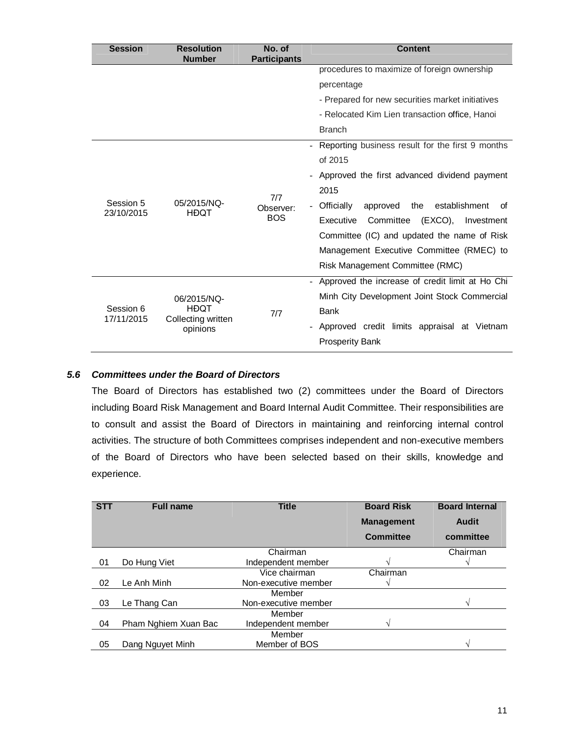| <b>Session</b>          | <b>Resolution</b><br><b>Number</b>                           | No. of<br><b>Participants</b>  | <b>Content</b>                                                                                                                                                                                                                                                                                                                                            |  |  |  |
|-------------------------|--------------------------------------------------------------|--------------------------------|-----------------------------------------------------------------------------------------------------------------------------------------------------------------------------------------------------------------------------------------------------------------------------------------------------------------------------------------------------------|--|--|--|
|                         |                                                              |                                | procedures to maximize of foreign ownership                                                                                                                                                                                                                                                                                                               |  |  |  |
|                         |                                                              |                                | percentage                                                                                                                                                                                                                                                                                                                                                |  |  |  |
|                         |                                                              |                                | - Prepared for new securities market initiatives                                                                                                                                                                                                                                                                                                          |  |  |  |
|                         |                                                              |                                | - Relocated Kim Lien transaction office, Hanoi                                                                                                                                                                                                                                                                                                            |  |  |  |
|                         |                                                              |                                | <b>Branch</b>                                                                                                                                                                                                                                                                                                                                             |  |  |  |
| Session 5<br>23/10/2015 | 05/2015/NQ-<br><b>HĐQT</b>                                   | 7/7<br>Observer:<br><b>BOS</b> | Reporting business result for the first 9 months<br>of 2015<br>Approved the first advanced dividend payment<br>2015<br>Officially<br>approved<br>the establishment<br>of<br>Committee<br>Executive<br>(EXCO),<br>Investment<br>Committee (IC) and updated the name of Risk<br>Management Executive Committee (RMEC) to<br>Risk Management Committee (RMC) |  |  |  |
| Session 6<br>17/11/2015 | 06/2015/NQ-<br><b>HĐOT</b><br>Collecting written<br>opinions | 7/7                            | Approved the increase of credit limit at Ho Chi<br>Minh City Development Joint Stock Commercial<br><b>Bank</b><br>Approved credit limits appraisal at Vietnam<br><b>Prosperity Bank</b>                                                                                                                                                                   |  |  |  |

## *5.6 Committees under the Board of Directors*

The Board of Directors has established two (2) committees under the Board of Directors including Board Risk Management and Board Internal Audit Committee. Their responsibilities are to consult and assist the Board of Directors in maintaining and reinforcing internal control activities. The structure of both Committees comprises independent and non-executive members of the Board of Directors who have been selected based on their skills, knowledge and experience.

| <b>STT</b> | <b>Full name</b>     | <b>Title</b>         | <b>Board Risk</b> | <b>Board Internal</b> |
|------------|----------------------|----------------------|-------------------|-----------------------|
|            |                      |                      | <b>Management</b> | <b>Audit</b>          |
|            |                      |                      | <b>Committee</b>  | committee             |
|            |                      | Chairman             |                   | Chairman              |
| 01         | Do Hung Viet         | Independent member   |                   |                       |
|            |                      | Vice chairman        | Chairman          |                       |
| 02         | Le Anh Minh          | Non-executive member |                   |                       |
|            |                      | Member               |                   |                       |
| 03         | Le Thang Can         | Non-executive member |                   | اد                    |
|            |                      | Member               |                   |                       |
| 04         | Pham Nghiem Xuan Bac | Independent member   |                   |                       |
|            |                      | Member               |                   |                       |
| 05         | Dang Nguyet Minh     | Member of BOS        |                   |                       |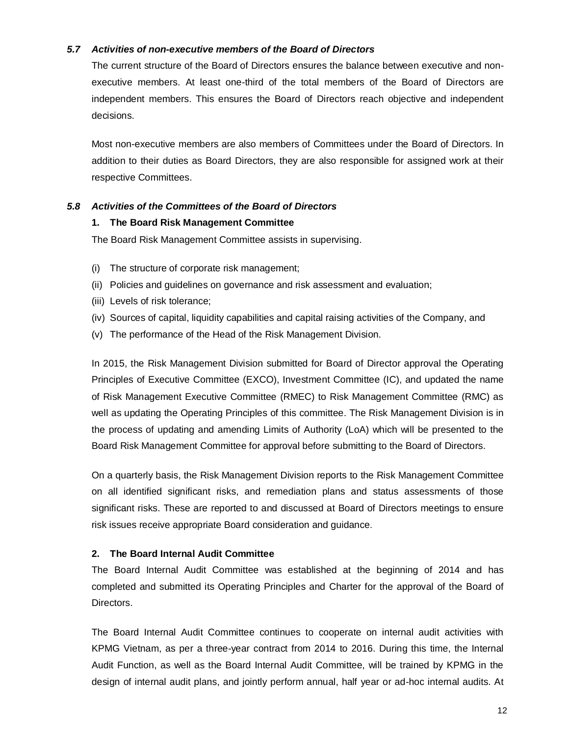## *5.7 Activities of non-executive members of the Board of Directors*

The current structure of the Board of Directors ensures the balance between executive and nonexecutive members. At least one-third of the total members of the Board of Directors are independent members. This ensures the Board of Directors reach objective and independent decisions.

Most non-executive members are also members of Committees under the Board of Directors. In addition to their duties as Board Directors, they are also responsible for assigned work at their respective Committees.

## *5.8 Activities of the Committees of the Board of Directors*

#### **1. The Board Risk Management Committee**

The Board Risk Management Committee assists in supervising.

- (i) The structure of corporate risk management;
- (ii) Policies and guidelines on governance and risk assessment and evaluation;
- (iii) Levels of risk tolerance;
- (iv) Sources of capital, liquidity capabilities and capital raising activities of the Company, and
- (v) The performance of the Head of the Risk Management Division.

In 2015, the Risk Management Division submitted for Board of Director approval the Operating Principles of Executive Committee (EXCO), Investment Committee (IC), and updated the name of Risk Management Executive Committee (RMEC) to Risk Management Committee (RMC) as well as updating the Operating Principles of this committee. The Risk Management Division is in the process of updating and amending Limits of Authority (LoA) which will be presented to the Board Risk Management Committee for approval before submitting to the Board of Directors.

On a quarterly basis, the Risk Management Division reports to the Risk Management Committee on all identified significant risks, and remediation plans and status assessments of those significant risks. These are reported to and discussed at Board of Directors meetings to ensure risk issues receive appropriate Board consideration and guidance.

#### **2. The Board Internal Audit Committee**

The Board Internal Audit Committee was established at the beginning of 2014 and has completed and submitted its Operating Principles and Charter for the approval of the Board of Directors.

The Board Internal Audit Committee continues to cooperate on internal audit activities with KPMG Vietnam, as per a three-year contract from 2014 to 2016. During this time, the Internal Audit Function, as well as the Board Internal Audit Committee, will be trained by KPMG in the design of internal audit plans, and jointly perform annual, half year or ad-hoc internal audits. At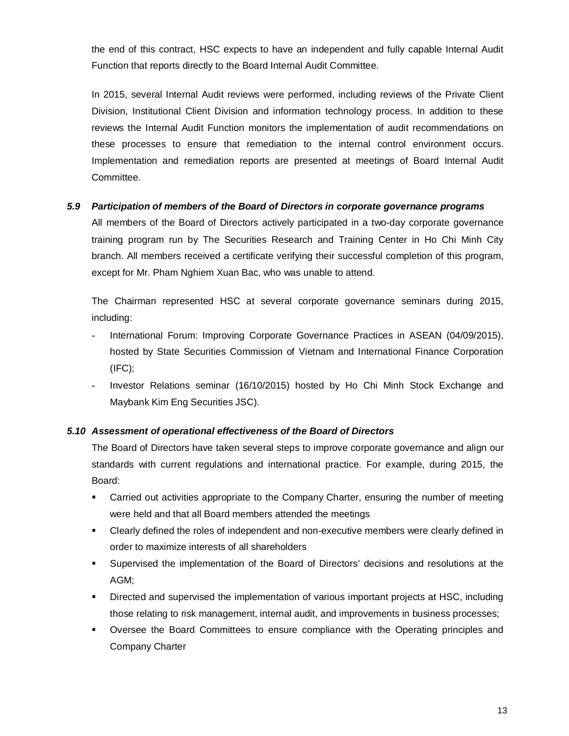the end of this contract, HSC expects to have an independent and fully capable Internal Audit Function that reports directly to the Board Internal Audit Committee.

In 2015, several Internal Audit reviews were performed, including reviews of the Private Client Division, Institutional Client Division and information technology process. In addition to these reviews the Internal Audit Function monitors the implementation of audit recommendations on these processes to ensure that remediation to the internal control environment occurs. Implementation and remediation reports are presented at meetings of Board Internal Audit Committee.

## *5.9 Participation of members of the Board of Directors in corporate governance programs*

All members of the Board of Directors actively participated in a two-day corporate governance training program run by The Securities Research and Training Center in Ho Chi Minh City branch. All members received a certificate verifying their successful completion of this program, except for Mr. Pham Nghiem Xuan Bac, who was unable to attend.

The Chairman represented HSC at several corporate governance seminars during 2015, including:

- International Forum: Improving Corporate Governance Practices in ASEAN (04/09/2015), hosted by State Securities Commission of Vietnam and International Finance Corporation (IFC);
- Investor Relations seminar (16/10/2015) hosted by Ho Chi Minh Stock Exchange and Maybank Kim Eng Securities JSC).

## *5.10 Assessment of operational effectiveness of the Board of Directors*

The Board of Directors have taken several steps to improve corporate governance and align our standards with current regulations and international practice. For example, during 2015, the Board:

- Carried out activities appropriate to the Company Charter, ensuring the number of meeting were held and that all Board members attended the meetings
- Clearly defined the roles of independent and non-executive members were clearly defined in order to maximize interests of all shareholders
- Supervised the implementation of the Board of Directors' decisions and resolutions at the AGM;
- Directed and supervised the implementation of various important projects at HSC, including those relating to risk management, internal audit, and improvements in business processes;
- Oversee the Board Committees to ensure compliance with the Operating principles and Company Charter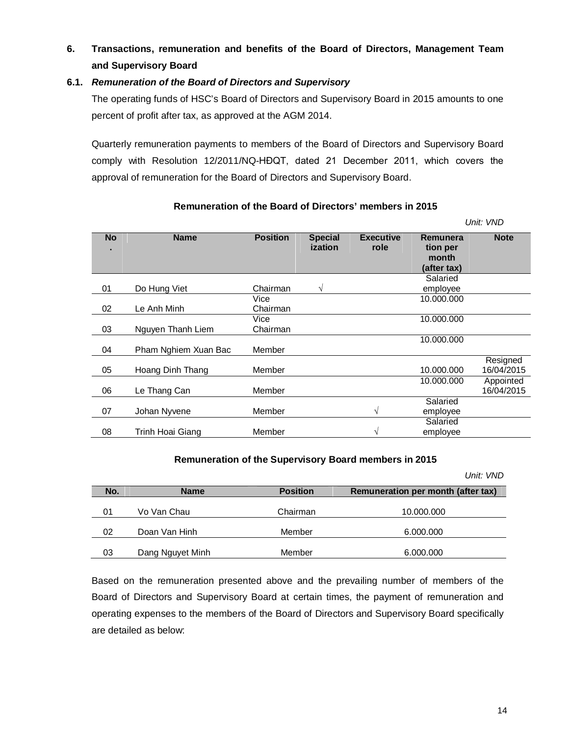# **6. Transactions, remuneration and benefits of the Board of Directors, Management Team and Supervisory Board**

## **6.1.** *Remuneration of the Board of Directors and Supervisory*

The operating funds of HSC's Board of Directors and Supervisory Board in 2015 amounts to one percent of profit after tax, as approved at the AGM 2014.

Quarterly remuneration payments to members of the Board of Directors and Supervisory Board comply with Resolution 12/2011/NQ-HĐQT, dated 21 December 2011, which covers the approval of remuneration for the Board of Directors and Supervisory Board.

|           |                      |                  |                           |                          |                                              | UHL VND                 |
|-----------|----------------------|------------------|---------------------------|--------------------------|----------------------------------------------|-------------------------|
| <b>No</b> | <b>Name</b>          | <b>Position</b>  | <b>Special</b><br>ization | <b>Executive</b><br>role | Remunera<br>tion per<br>month<br>(after tax) | <b>Note</b>             |
| 01        | Do Hung Viet         | Chairman         | V                         |                          | Salaried<br>employee                         |                         |
| 02        | Le Anh Minh          | Vice<br>Chairman |                           |                          | 10.000.000                                   |                         |
| 03        | Nguyen Thanh Liem    | Vice<br>Chairman |                           |                          | 10.000.000                                   |                         |
| 04        | Pham Nghiem Xuan Bac | Member           |                           |                          | 10.000.000                                   |                         |
| 05        | Hoang Dinh Thang     | Member           |                           |                          | 10.000.000                                   | Resigned<br>16/04/2015  |
| 06        | Le Thang Can         | Member           |                           |                          | 10.000.000                                   | Appointed<br>16/04/2015 |
| 07        | Johan Nyvene         | Member           |                           | V                        | Salaried<br>employee                         |                         |
| 08        | Trinh Hoai Giang     | Member           |                           | N                        | Salaried<br>employee                         |                         |

## **Remuneration of the Board of Directors' members in 2015**

#### **Remuneration of the Supervisory Board members in 2015**

|     |                  |                 | Unit: VND                          |
|-----|------------------|-----------------|------------------------------------|
| No. | <b>Name</b>      | <b>Position</b> | Remuneration per month (after tax) |
| 01  | Vo Van Chau      | Chairman        | 10.000.000                         |
| 02  | Doan Van Hinh    | Member          | 6.000.000                          |
| 03  | Dang Nguyet Minh | Member          | 6.000.000                          |

Based on the remuneration presented above and the prevailing number of members of the Board of Directors and Supervisory Board at certain times, the payment of remuneration and operating expenses to the members of the Board of Directors and Supervisory Board specifically are detailed as below:

 *Unit: VND*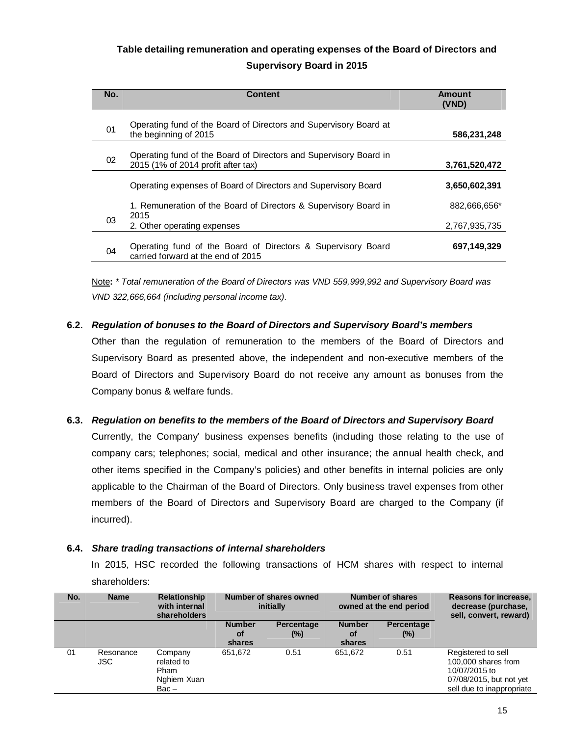# **Table detailing remuneration and operating expenses of the Board of Directors and Supervisory Board in 2015**

| No. | <b>Content</b>                                                                                          | Amount<br>(VND) |
|-----|---------------------------------------------------------------------------------------------------------|-----------------|
| 01  | Operating fund of the Board of Directors and Supervisory Board at<br>the beginning of 2015              | 586,231,248     |
| 02  | Operating fund of the Board of Directors and Supervisory Board in<br>2015 (1% of 2014 profit after tax) | 3,761,520,472   |
|     | Operating expenses of Board of Directors and Supervisory Board                                          | 3,650,602,391   |
|     | 1. Remuneration of the Board of Directors & Supervisory Board in<br>2015                                | 882.666.656*    |
| 03  | 2. Other operating expenses                                                                             | 2,767,935,735   |
| 04  | Operating fund of the Board of Directors & Supervisory Board<br>carried forward at the end of 2015      | 697,149,329     |

Note**:** *\* Total remuneration of the Board of Directors was VND 559,999,992 and Supervisory Board was VND 322,666,664 (including personal income tax).* 

## **6.2.** *Regulation of bonuses to the Board of Directors and Supervisory Board's members*

Other than the regulation of remuneration to the members of the Board of Directors and Supervisory Board as presented above, the independent and non-executive members of the Board of Directors and Supervisory Board do not receive any amount as bonuses from the Company bonus & welfare funds.

## **6.3.** *Regulation on benefits to the members of the Board of Directors and Supervisory Board*

Currently, the Company' business expenses benefits (including those relating to the use of company cars; telephones; social, medical and other insurance; the annual health check, and other items specified in the Company's policies) and other benefits in internal policies are only applicable to the Chairman of the Board of Directors. Only business travel expenses from other members of the Board of Directors and Supervisory Board are charged to the Company (if incurred).

#### **6.4.** *Share trading transactions of internal shareholders*

In 2015, HSC recorded the following transactions of HCM shares with respect to internal shareholders:

| No. | <b>Name</b>       | <b>Relationship</b><br>with internal<br>shareholders    | Number of shares owned<br>initially  |                      | <b>Number of shares</b><br>owned at the end period |                      | Reasons for increase,<br>decrease (purchase,<br>sell, convert, reward)                                             |
|-----|-------------------|---------------------------------------------------------|--------------------------------------|----------------------|----------------------------------------------------|----------------------|--------------------------------------------------------------------------------------------------------------------|
|     |                   |                                                         | <b>Number</b><br><b>of</b><br>shares | Percentage<br>$(\%)$ | <b>Number</b><br>0f<br>shares                      | Percentage<br>$(\%)$ |                                                                                                                    |
| 01  | Resonance<br>JSC. | Company<br>related to<br>Pham<br>Nghiem Xuan<br>$Bac -$ | 651,672                              | 0.51                 | 651,672                                            | 0.51                 | Registered to sell<br>100,000 shares from<br>10/07/2015 to<br>07/08/2015, but not yet<br>sell due to inappropriate |